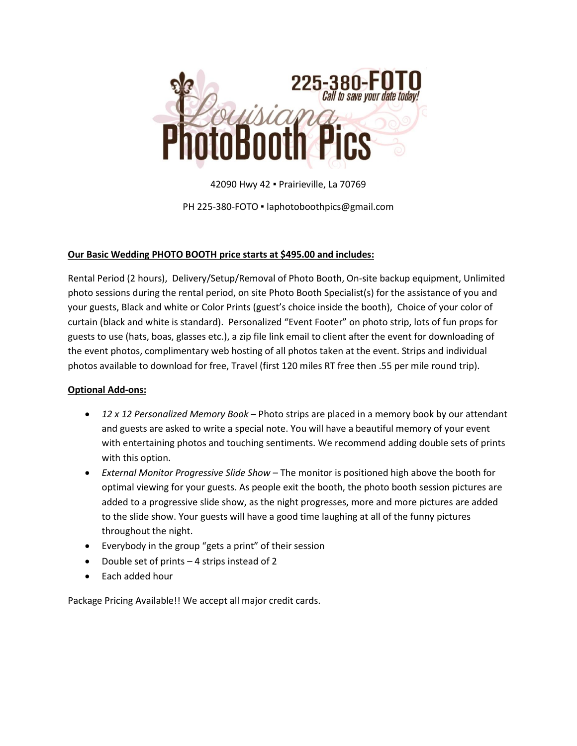

42090 Hwy 42 ▪ Prairieville, La 70769 PH 225-380-FOTO · laphotoboothpics@gmail.com

## **Our Basic Wedding PHOTO BOOTH price starts at \$495.00 and includes:**

Rental Period (2 hours), Delivery/Setup/Removal of Photo Booth, On-site backup equipment, Unlimited photo sessions during the rental period, on site Photo Booth Specialist(s) for the assistance of you and your guests, Black and white or Color Prints (guest's choice inside the booth), Choice of your color of curtain (black and white is standard). Personalized "Event Footer" on photo strip, lots of fun props for guests to use (hats, boas, glasses etc.), a zip file link email to client after the event for downloading of the event photos, complimentary web hosting of all photos taken at the event. Strips and individual photos available to download for free, Travel (first 120 miles RT free then .55 per mile round trip).

## **Optional Add-ons:**

- *12 x 12 Personalized Memory Book* Photo strips are placed in a memory book by our attendant and guests are asked to write a special note. You will have a beautiful memory of your event with entertaining photos and touching sentiments. We recommend adding double sets of prints with this option.
- *External Monitor Progressive Slide Show* The monitor is positioned high above the booth for optimal viewing for your guests. As people exit the booth, the photo booth session pictures are added to a progressive slide show, as the night progresses, more and more pictures are added to the slide show. Your guests will have a good time laughing at all of the funny pictures throughout the night.
- Everybody in the group "gets a print" of their session
- Double set of prints  $-4$  strips instead of 2
- Each added hour

Package Pricing Available!! We accept all major credit cards.